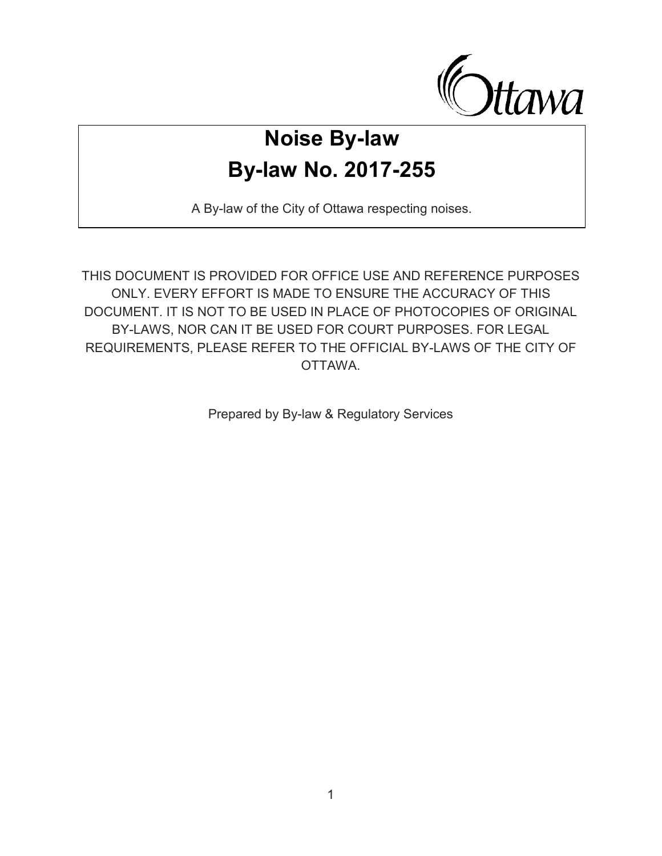

# **Noise By-law By-law No. 2017-255**

A By-law of the City of Ottawa respecting noises.

THIS DOCUMENT IS PROVIDED FOR OFFICE USE AND REFERENCE PURPOSES ONLY. EVERY EFFORT IS MADE TO ENSURE THE ACCURACY OF THIS DOCUMENT. IT IS NOT TO BE USED IN PLACE OF PHOTOCOPIES OF ORIGINAL BY-LAWS, NOR CAN IT BE USED FOR COURT PURPOSES. FOR LEGAL REQUIREMENTS, PLEASE REFER TO THE OFFICIAL BY -LAWS OF THE CITY OF OTTAWA.

Prepared by By-law & Regulatory Services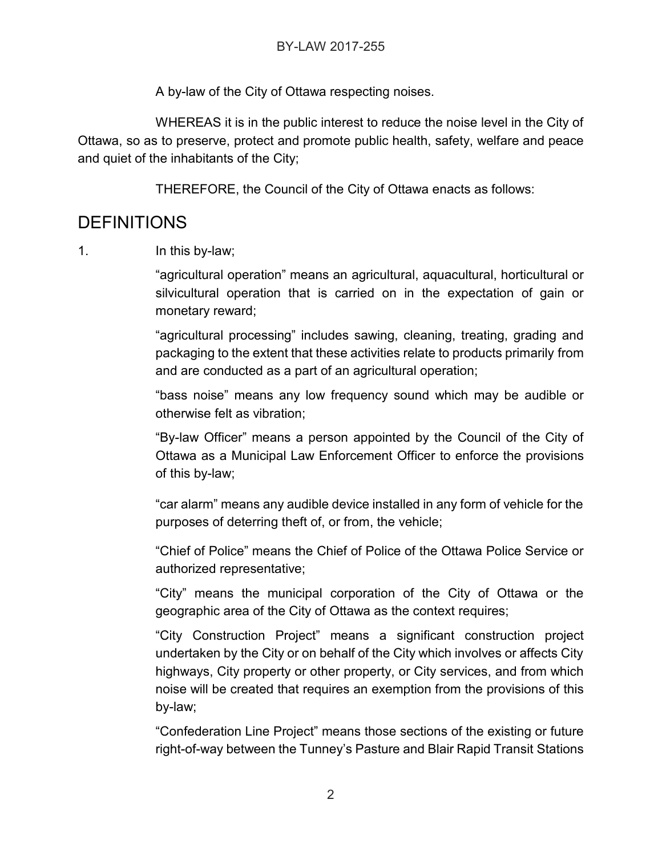A by-law of the City of Ottawa respecting noises.

WHEREAS it is in the public interest to reduce the noise level in the City of Ottawa, so as to preserve, protect and promote public health, safety, welfare and peace and quiet of the inhabitants of the City;

THEREFORE, the Council of the City of Ottawa enacts as follows:

#### DEFINITIONS

1. In this by-law;

"agricultural operation" means an agricultural, aquacultural, horticultural or silvicultural operation that is carried on in the expectation of gain or monetary reward;

"agricultural processing" includes sawing, cleaning, treating, grading and packaging to the extent that these activities relate to products primarily from and are conducted as a part of an agricultural operation;

"bass noise" means any low frequency sound which may be audible or otherwise felt as vibration;

"By-law Officer" means a person appointed by the Council of the City of Ottawa as a Municipal Law Enforcement Officer to enforce the provisions of this by-law;

"car alarm" means any audible device installed in any form of vehicle for the purposes of deterring theft of, or from, the vehicle;

"Chief of Police" means the Chief of Police of the Ottawa Police Service or authorized representative;

"City" means the municipal corporation of the City of Ottawa or the geographic area of the City of Ottawa as the context requires;

"City Construction Project" means a significant construction project undertaken by the City or on behalf of the City which involves or affects City highways, City property or other property, or City services, and from which noise will be created that requires an exemption from the provisions of this by-law;

"Confederation Line Project" means those sections of the existing or future right-of-way between the Tunney's Pasture and Blair Rapid Transit Stations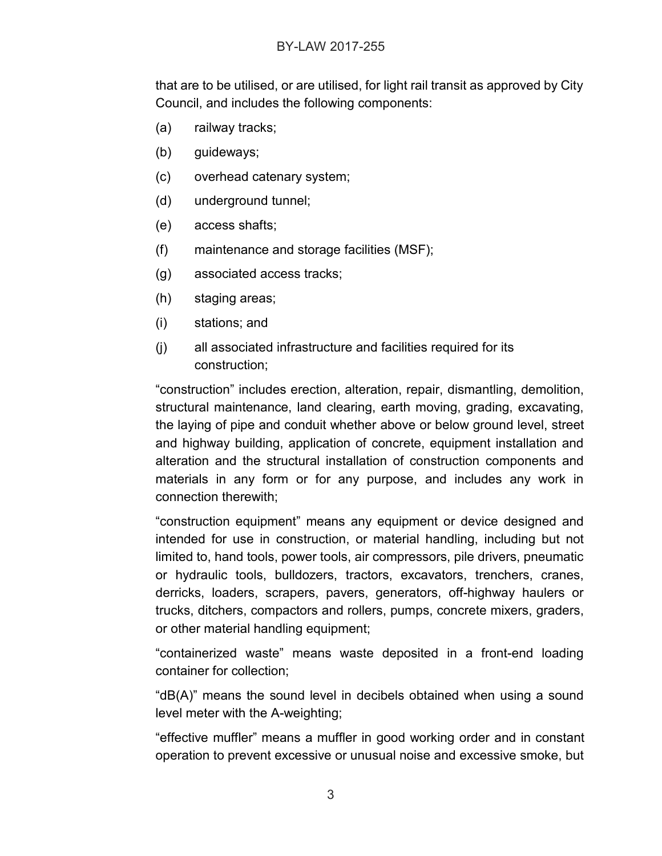#### BY-LAW 2017-255

that are to be utilised, or are utilised, for light rail transit as approved by City Council, and includes the following components:

- (a) railway tracks;
- (b) guideways;
- (c) overhead catenary system;
- (d) underground tunnel;
- (e) access shafts;
- (f) maintenance and storage facilities (MSF);
- (g) associated access tracks;
- (h) staging areas;
- (i) stations; and
- (j) all associated infrastructure and facilities required for its construction;

"construction" includes erection, alteration, repair, dismantling, demolition, structural maintenance, land clearing, earth moving, grading, excavating, the laying of pipe and conduit whether above or below ground level, street and highway building, application of concrete, equipment installation and alteration and the structural installation of construction components and materials in any form or for any purpose, and includes any work in connection therewith;

"construction equipment" means any equipment or device designed and intended for use in construction, or material handling, including but not limited to, hand tools, power tools, air compressors, pile drivers, pneumatic or hydraulic tools, bulldozers, tractors, excavators, trenchers, cranes, derricks, loaders, scrapers, pavers, generators, off-highway haulers or trucks, ditchers, compactors and rollers, pumps, concrete mixers, graders, or other material handling equipment;

"containerized waste" means waste deposited in a front-end loading container for collection;

"dB(A)" means the sound level in decibels obtained when using a sound level meter with the A-weighting;

"effective muffler" means a muffler in good working order and in constant operation to prevent excessive or unusual noise and excessive smoke, but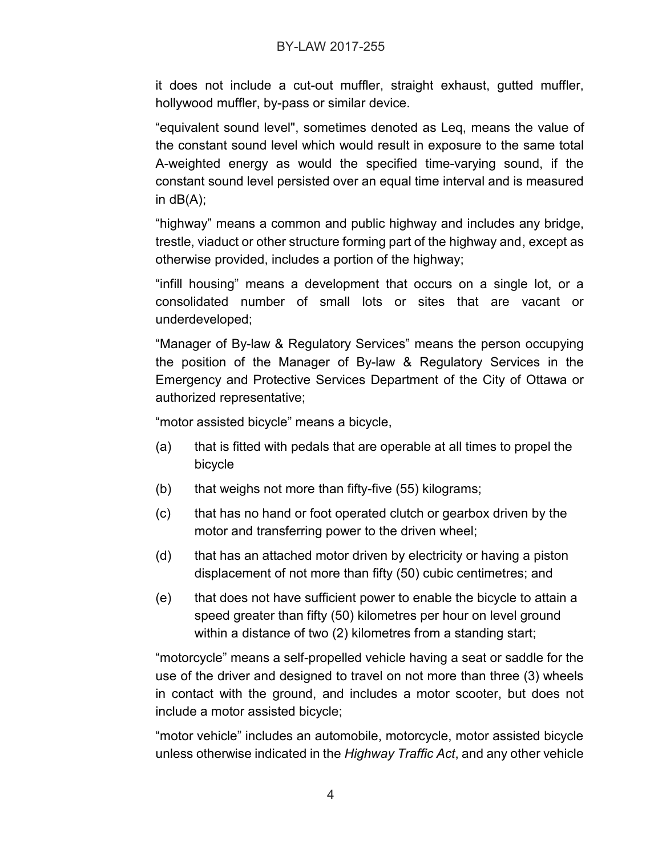it does not include a cut-out muffler, straight exhaust, gutted muffler, hollywood muffler, by-pass or similar device.

"equivalent sound level", sometimes denoted as Leq, means the value of the constant sound level which would result in exposure to the same total A-weighted energy as would the specified time-varying sound, if the constant sound level persisted over an equal time interval and is measured in  $dB(A)$ ;

"highway" means a common and public highway and includes any bridge, trestle, viaduct or other structure forming part of the highway and, except as otherwise provided, includes a portion of the highway;

"infill housing" means a development that occurs on a single lot, or a consolidated number of small lots or sites that are vacant or underdeveloped;

"Manager of By-law & Regulatory Services" means the person occupying the position of the Manager of By-law & Regulatory Services in the Emergency and Protective Services Department of the City of Ottawa or authorized representative;

"motor assisted bicycle" means a bicycle,

- (a) that is fitted with pedals that are operable at all times to propel the bicycle
- (b) that weighs not more than fifty-five (55) kilograms;
- (c) that has no hand or foot operated clutch or gearbox driven by the motor and transferring power to the driven wheel;
- (d) that has an attached motor driven by electricity or having a piston displacement of not more than fifty (50) cubic centimetres; and
- (e) that does not have sufficient power to enable the bicycle to attain a speed greater than fifty (50) kilometres per hour on level ground within a distance of two (2) kilometres from a standing start;

"motorcycle" means a self-propelled vehicle having a seat or saddle for the use of the driver and designed to travel on not more than three (3) wheels in contact with the ground, and includes a motor scooter, but does not include a motor assisted bicycle;

"motor vehicle" includes an automobile, motorcycle, motor assisted bicycle unless otherwise indicated in the *Highway Traffic Act*, and any other vehicle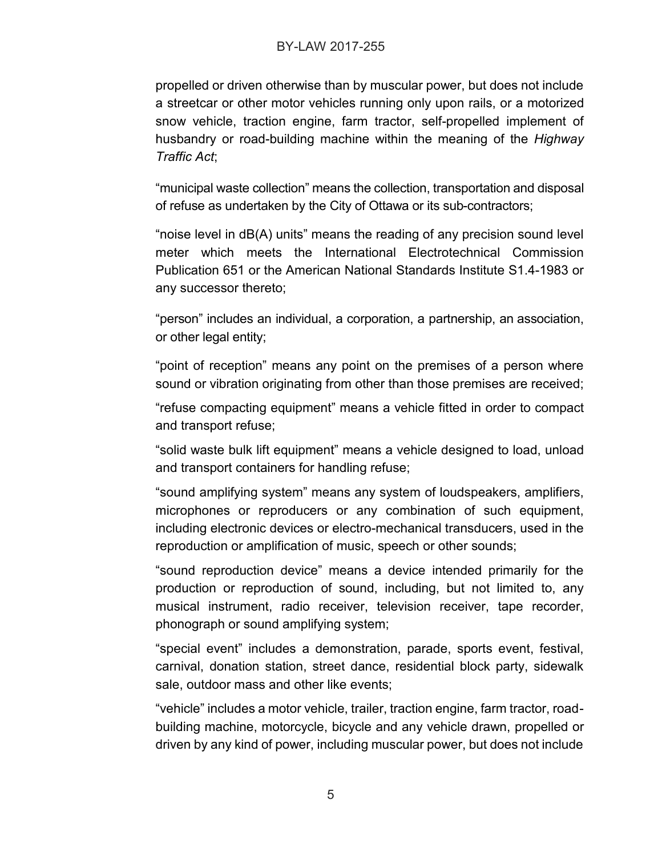#### BY-LAW 2017-255

propelled or driven otherwise than by muscular power, but does not include a streetcar or other motor vehicles running only upon rails, or a motorized snow vehicle, traction engine, farm tractor, self-propelled implement of husbandry or road-building machine within the meaning of the *Highway Traffic Act*;

"municipal waste collection" means the collection, transportation and disposal of refuse as undertaken by the City of Ottawa or its sub-contractors;

"noise level in dB(A) units" means the reading of any precision sound level meter which meets the International Electrotechnical Commission Publication 651 or the American National Standards Institute S1.4-1983 or any successor thereto;

"person" includes an individual, a corporation, a partnership, an association, or other legal entity;

"point of reception" means any point on the premises of a person where sound or vibration originating from other than those premises are received;

"refuse compacting equipment" means a vehicle fitted in order to compact and transport refuse;

"solid waste bulk lift equipment" means a vehicle designed to load, unload and transport containers for handling refuse;

"sound amplifying system" means any system of loudspeakers, amplifiers, microphones or reproducers or any combination of such equipment, including electronic devices or electro-mechanical transducers, used in the reproduction or amplification of music, speech or other sounds;

"sound reproduction device" means a device intended primarily for the production or reproduction of sound, including, but not limited to, any musical instrument, radio receiver, television receiver, tape recorder, phonograph or sound amplifying system;

"special event" includes a demonstration, parade, sports event, festival, carnival, donation station, street dance, residential block party, sidewalk sale, outdoor mass and other like events;

"vehicle" includes a motor vehicle, trailer, traction engine, farm tractor, roadbuilding machine, motorcycle, bicycle and any vehicle drawn, propelled or driven by any kind of power, including muscular power, but does not include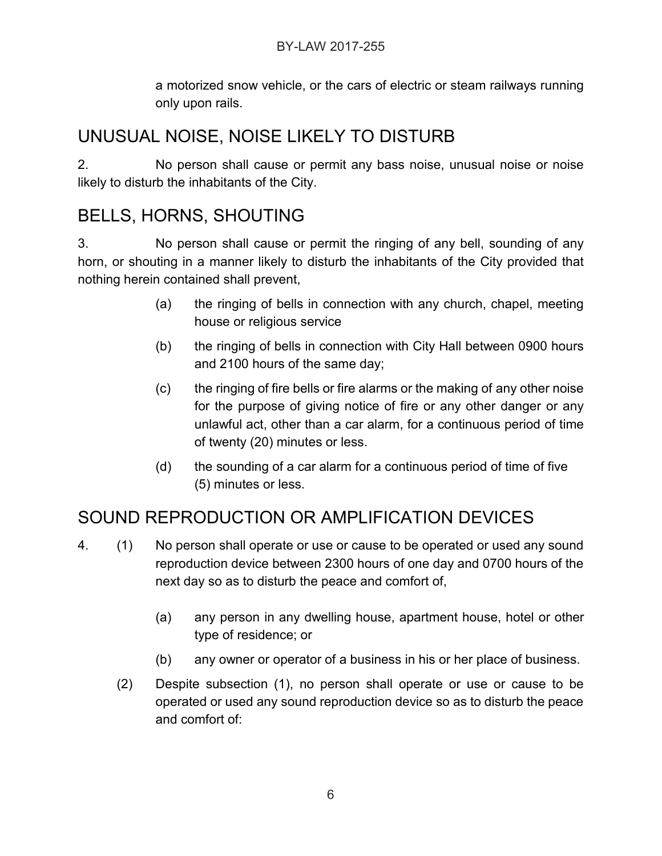#### BY-LAW 2017-255

a motorized snow vehicle, or the cars of electric or steam railways running only upon rails.

### UNUSUAL NOISE, NOISE LIKELY TO DISTURB

2. No person shall cause or permit any bass noise, unusual noise or noise likely to disturb the inhabitants of the City.

### BELLS, HORNS, SHOUTING

3. No person shall cause or permit the ringing of any bell, sounding of any horn, or shouting in a manner likely to disturb the inhabitants of the City provided that nothing herein contained shall prevent,

- (a) the ringing of bells in connection with any church, chapel, meeting house or religious service
- (b) the ringing of bells in connection with City Hall between 0900 hours and 2100 hours of the same day;
- (c) the ringing of fire bells or fire alarms or the making of any other noise for the purpose of giving notice of fire or any other danger or any unlawful act, other than a car alarm, for a continuous period of time of twenty (20) minutes or less.
- (d) the sounding of a car alarm for a continuous period of time of five (5) minutes or less.

# SOUND REPRODUCTION OR AMPLIFICATION DEVICES

- 4. (1) No person shall operate or use or cause to be operated or used any sound reproduction device between 2300 hours of one day and 0700 hours of the next day so as to disturb the peace and comfort of,
	- (a) any person in any dwelling house, apartment house, hotel or other type of residence; or
	- (b) any owner or operator of a business in his or her place of business.
	- (2) Despite subsection (1), no person shall operate or use or cause to be operated or used any sound reproduction device so as to disturb the peace and comfort of: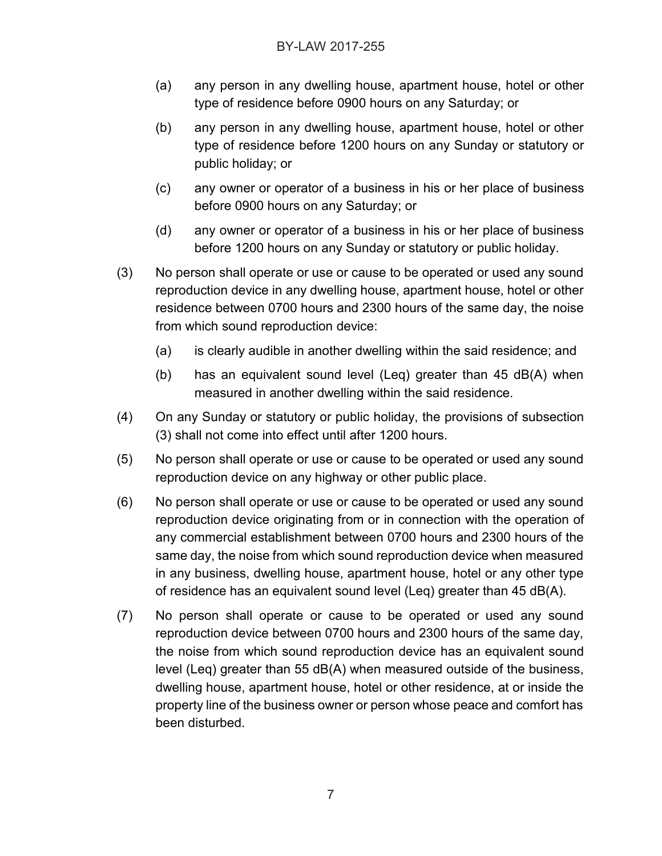- (a) any person in any dwelling house, apartment house, hotel or other type of residence before 0900 hours on any Saturday; or
- (b) any person in any dwelling house, apartment house, hotel or other type of residence before 1200 hours on any Sunday or statutory or public holiday; or
- (c) any owner or operator of a business in his or her place of business before 0900 hours on any Saturday; or
- (d) any owner or operator of a business in his or her place of business before 1200 hours on any Sunday or statutory or public holiday.
- (3) No person shall operate or use or cause to be operated or used any sound reproduction device in any dwelling house, apartment house, hotel or other residence between 0700 hours and 2300 hours of the same day, the noise from which sound reproduction device:
	- (a) is clearly audible in another dwelling within the said residence; and
	- (b) has an equivalent sound level (Leq) greater than 45 dB(A) when measured in another dwelling within the said residence.
- (4) On any Sunday or statutory or public holiday, the provisions of subsection (3) shall not come into effect until after 1200 hours.
- (5) No person shall operate or use or cause to be operated or used any sound reproduction device on any highway or other public place.
- (6) No person shall operate or use or cause to be operated or used any sound reproduction device originating from or in connection with the operation of any commercial establishment between 0700 hours and 2300 hours of the same day, the noise from which sound reproduction device when measured in any business, dwelling house, apartment house, hotel or any other type of residence has an equivalent sound level (Leq) greater than 45 dB(A).
- (7) No person shall operate or cause to be operated or used any sound reproduction device between 0700 hours and 2300 hours of the same day, the noise from which sound reproduction device has an equivalent sound level (Leq) greater than 55  $dB(A)$  when measured outside of the business, dwelling house, apartment house, hotel or other residence, at or inside the property line of the business owner or person whose peace and comfort has been disturbed.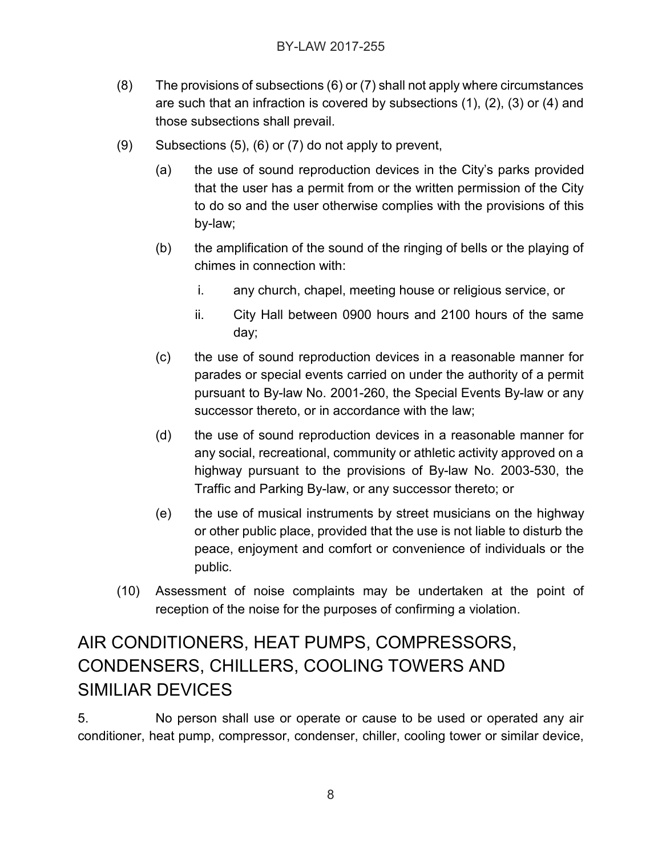- (8) The provisions of subsections (6) or (7) shall not apply where circumstances are such that an infraction is covered by subsections (1), (2), (3) or (4) and those subsections shall prevail.
- (9) Subsections (5), (6) or (7) do not apply to prevent,
	- (a) the use of sound reproduction devices in the City's parks provided that the user has a permit from or the written permission of the City to do so and the user otherwise complies with the provisions of this by-law;
	- (b) the amplification of the sound of the ringing of bells or the playing of chimes in connection with:
		- i. any church, chapel, meeting house or religious service, or
		- ii. City Hall between 0900 hours and 2100 hours of the same day;
	- (c) the use of sound reproduction devices in a reasonable manner for parades or special events carried on under the authority of a permit pursuant to By-law No. 2001-260, the Special Events By-law or any successor thereto, or in accordance with the law;
	- (d) the use of sound reproduction devices in a reasonable manner for any social, recreational, community or athletic activity approved on a highway pursuant to the provisions of By-law No. 2003-530, the Traffic and Parking By-law, or any successor thereto; or
	- (e) the use of musical instruments by street musicians on the highway or other public place, provided that the use is not liable to disturb the peace, enjoyment and comfort or convenience of individuals or the public.
- (10) Assessment of noise complaints may be undertaken at the point of reception of the noise for the purposes of confirming a violation.

# AIR CONDITIONERS, HEAT PUMPS, COMPRESSORS, CONDENSERS, CHILLERS, COOLING TOWERS AND SIMILIAR DEVICES

5. No person shall use or operate or cause to be used or operated any air conditioner, heat pump, compressor, condenser, chiller, cooling tower or similar device,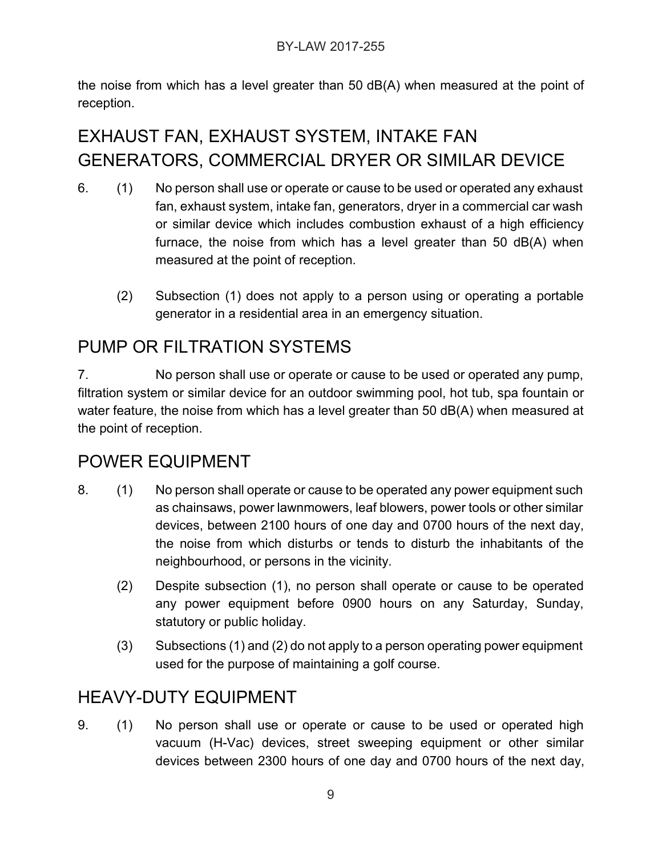the noise from which has a level greater than 50 dB(A) when measured at the point of reception.

# EXHAUST FAN, EXHAUST SYSTEM, INTAKE FAN GENERATORS, COMMERCIAL DRYER OR SIMILAR DEVICE

- 6. (1) No person shall use or operate or cause to be used or operated any exhaust fan, exhaust system, intake fan, generators, dryer in a commercial car wash or similar device which includes combustion exhaust of a high efficiency furnace, the noise from which has a level greater than 50 dB(A) when measured at the point of reception.
	- (2) Subsection (1) does not apply to a person using or operating a portable generator in a residential area in an emergency situation.

# PUMP OR FILTRATION SYSTEMS

7. No person shall use or operate or cause to be used or operated any pump, filtration system or similar device for an outdoor swimming pool, hot tub, spa fountain or water feature, the noise from which has a level greater than 50 dB(A) when measured at the point of reception.

### POWER EQUIPMENT

- 8. (1) No person shall operate or cause to be operated any power equipment such as chainsaws, power lawnmowers, leaf blowers, power tools or other similar devices, between 2100 hours of one day and 0700 hours of the next day, the noise from which disturbs or tends to disturb the inhabitants of the neighbourhood, or persons in the vicinity.
	- (2) Despite subsection (1), no person shall operate or cause to be operated any power equipment before 0900 hours on any Saturday, Sunday, statutory or public holiday.
	- (3) Subsections (1) and (2) do not apply to a person operating power equipment used for the purpose of maintaining a golf course.

# HEAVY-DUTY EQUIPMENT

9. (1) No person shall use or operate or cause to be used or operated high vacuum (H-Vac) devices, street sweeping equipment or other similar devices between 2300 hours of one day and 0700 hours of the next day,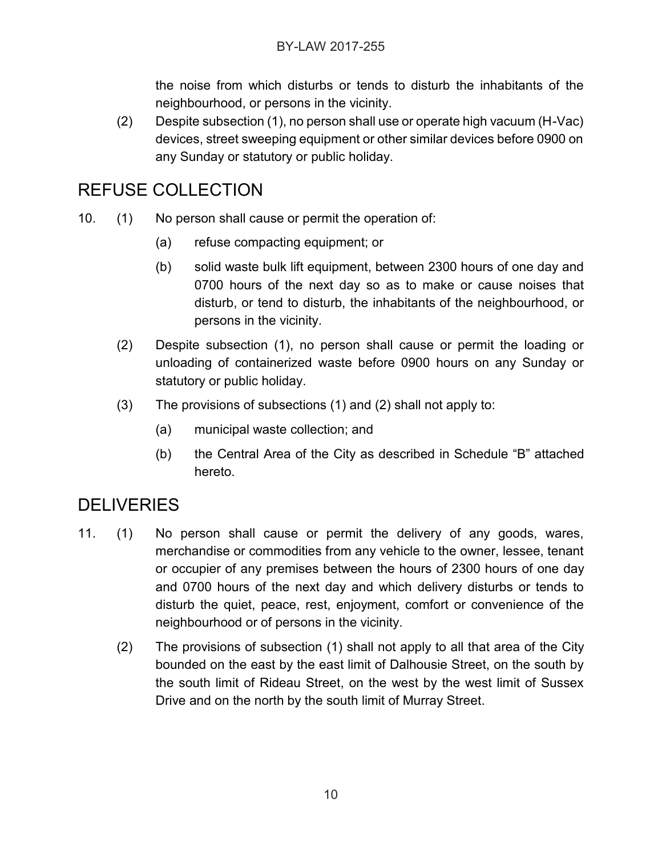the noise from which disturbs or tends to disturb the inhabitants of the neighbourhood, or persons in the vicinity.

(2) Despite subsection (1), no person shall use or operate high vacuum (H-Vac) devices, street sweeping equipment or other similar devices before 0900 on any Sunday or statutory or public holiday.

### REFUSE COLLECTION

- 10. (1) No person shall cause or permit the operation of:
	- (a) refuse compacting equipment; or
	- (b) solid waste bulk lift equipment, between 2300 hours of one day and 0700 hours of the next day so as to make or cause noises that disturb, or tend to disturb, the inhabitants of the neighbourhood, or persons in the vicinity.
	- (2) Despite subsection (1), no person shall cause or permit the loading or unloading of containerized waste before 0900 hours on any Sunday or statutory or public holiday.
	- (3) The provisions of subsections (1) and (2) shall not apply to:
		- (a) municipal waste collection; and
		- (b) the Central Area of the City as described in Schedule "B" attached hereto.

# **DELIVERIES**

- 11. (1) No person shall cause or permit the delivery of any goods, wares, merchandise or commodities from any vehicle to the owner, lessee, tenant or occupier of any premises between the hours of 2300 hours of one day and 0700 hours of the next day and which delivery disturbs or tends to disturb the quiet, peace, rest, enjoyment, comfort or convenience of the neighbourhood or of persons in the vicinity.
	- (2) The provisions of subsection (1) shall not apply to all that area of the City bounded on the east by the east limit of Dalhousie Street, on the south by the south limit of Rideau Street, on the west by the west limit of Sussex Drive and on the north by the south limit of Murray Street.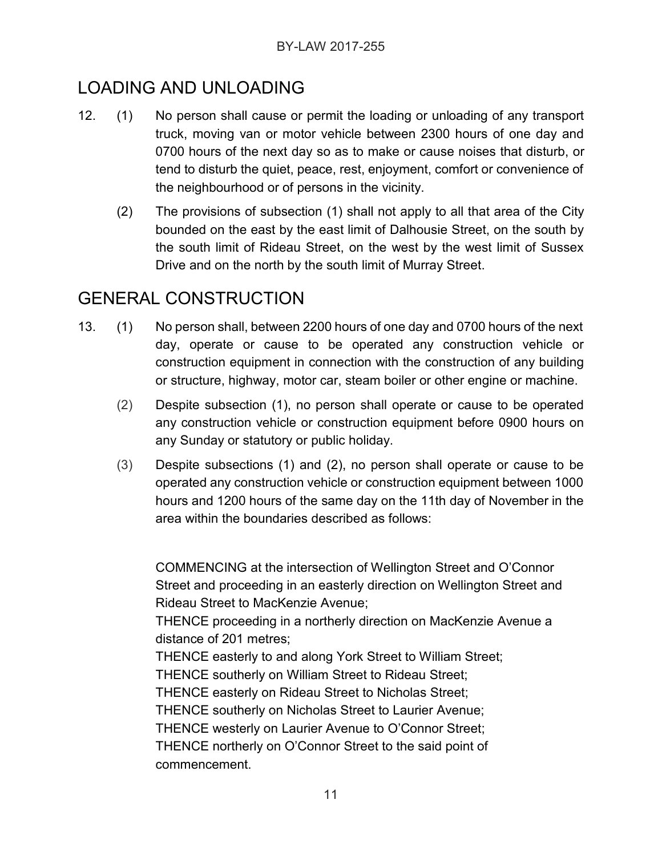# LOADING AND UNLOADING

- 12. (1) No person shall cause or permit the loading or unloading of any transport truck, moving van or motor vehicle between 2300 hours of one day and 0700 hours of the next day so as to make or cause noises that disturb, or tend to disturb the quiet, peace, rest, enjoyment, comfort or convenience of the neighbourhood or of persons in the vicinity.
	- (2) The provisions of subsection (1) shall not apply to all that area of the City bounded on the east by the east limit of Dalhousie Street, on the south by the south limit of Rideau Street, on the west by the west limit of Sussex Drive and on the north by the south limit of Murray Street.

# GENERAL CONSTRUCTION

- 13. (1) No person shall, between 2200 hours of one day and 0700 hours of the next day, operate or cause to be operated any construction vehicle or construction equipment in connection with the construction of any building or structure, highway, motor car, steam boiler or other engine or machine.
	- (2) Despite subsection (1), no person shall operate or cause to be operated any construction vehicle or construction equipment before 0900 hours on any Sunday or statutory or public holiday.
	- (3) Despite subsections (1) and (2), no person shall operate or cause to be operated any construction vehicle or construction equipment between 1000 hours and 1200 hours of the same day on the 11th day of November in the area within the boundaries described as follows:

COMMENCING at the intersection of Wellington Street and O'Connor Street and proceeding in an easterly direction on Wellington Street and Rideau Street to MacKenzie Avenue; THENCE proceeding in a northerly direction on MacKenzie Avenue a distance of 201 metres; THENCE easterly to and along York Street to William Street; THENCE southerly on William Street to Rideau Street; THENCE easterly on Rideau Street to Nicholas Street; THENCE southerly on Nicholas Street to Laurier Avenue; THENCE westerly on Laurier Avenue to O'Connor Street; THENCE northerly on O'Connor Street to the said point of commencement.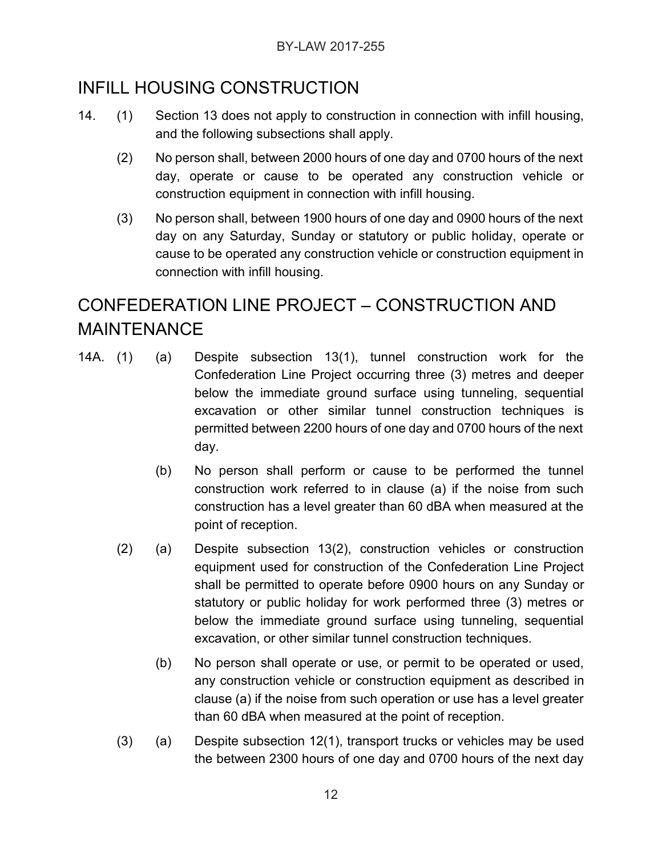### INFILL HOUSING CONSTRUCTION

- 14. (1) Section 13 does not apply to construction in connection with infill housing, and the following subsections shall apply.
	- (2) No person shall, between 2000 hours of one day and 0700 hours of the next day, operate or cause to be operated any construction vehicle or construction equipment in connection with infill housing.
	- (3) No person shall, between 1900 hours of one day and 0900 hours of the next day on any Saturday, Sunday or statutory or public holiday, operate or cause to be operated any construction vehicle or construction equipment in connection with infill housing.

# CONFEDERATION LINE PROJECT – CONSTRUCTION AND MAINTENANCE

- 14A. (1) (a) Despite subsection 13(1), tunnel construction work for the Confederation Line Project occurring three (3) metres and deeper below the immediate ground surface using tunneling, sequential excavation or other similar tunnel construction techniques is permitted between 2200 hours of one day and 0700 hours of the next day.
	- (b) No person shall perform or cause to be performed the tunnel construction work referred to in clause (a) if the noise from such construction has a level greater than 60 dBA when measured at the point of reception.
	- (2) (a) Despite subsection 13(2), construction vehicles or construction equipment used for construction of the Confederation Line Project shall be permitted to operate before 0900 hours on any Sunday or statutory or public holiday for work performed three (3) metres or below the immediate ground surface using tunneling, sequential excavation, or other similar tunnel construction techniques.
		- (b) No person shall operate or use, or permit to be operated or used, any construction vehicle or construction equipment as described in clause (a) if the noise from such operation or use has a level greater than 60 dBA when measured at the point of reception.
	- (3) (a) Despite subsection 12(1), transport trucks or vehicles may be used the between 2300 hours of one day and 0700 hours of the next day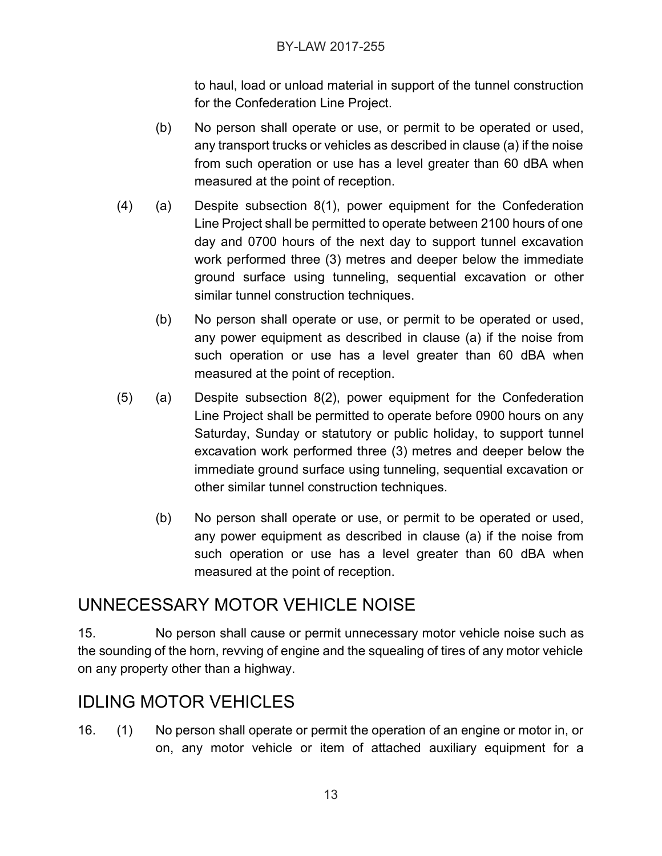to haul, load or unload material in support of the tunnel construction for the Confederation Line Project.

- (b) No person shall operate or use, or permit to be operated or used, any transport trucks or vehicles as described in clause (a) if the noise from such operation or use has a level greater than 60 dBA when measured at the point of reception.
- (4) (a) Despite subsection 8(1), power equipment for the Confederation Line Project shall be permitted to operate between 2100 hours of one day and 0700 hours of the next day to support tunnel excavation work performed three (3) metres and deeper below the immediate ground surface using tunneling, sequential excavation or other similar tunnel construction techniques.
	- (b) No person shall operate or use, or permit to be operated or used, any power equipment as described in clause (a) if the noise from such operation or use has a level greater than 60 dBA when measured at the point of reception.
- (5) (a) Despite subsection 8(2), power equipment for the Confederation Line Project shall be permitted to operate before 0900 hours on any Saturday, Sunday or statutory or public holiday, to support tunnel excavation work performed three (3) metres and deeper below the immediate ground surface using tunneling, sequential excavation or other similar tunnel construction techniques.
	- (b) No person shall operate or use, or permit to be operated or used, any power equipment as described in clause (a) if the noise from such operation or use has a level greater than 60 dBA when measured at the point of reception.

# UNNECESSARY MOTOR VEHICLE NOISE

15. No person shall cause or permit unnecessary motor vehicle noise such as the sounding of the horn, revving of engine and the squealing of tires of any motor vehicle on any property other than a highway.

# IDLING MOTOR VEHICLES

16. (1) No person shall operate or permit the operation of an engine or motor in, or on, any motor vehicle or item of attached auxiliary equipment for a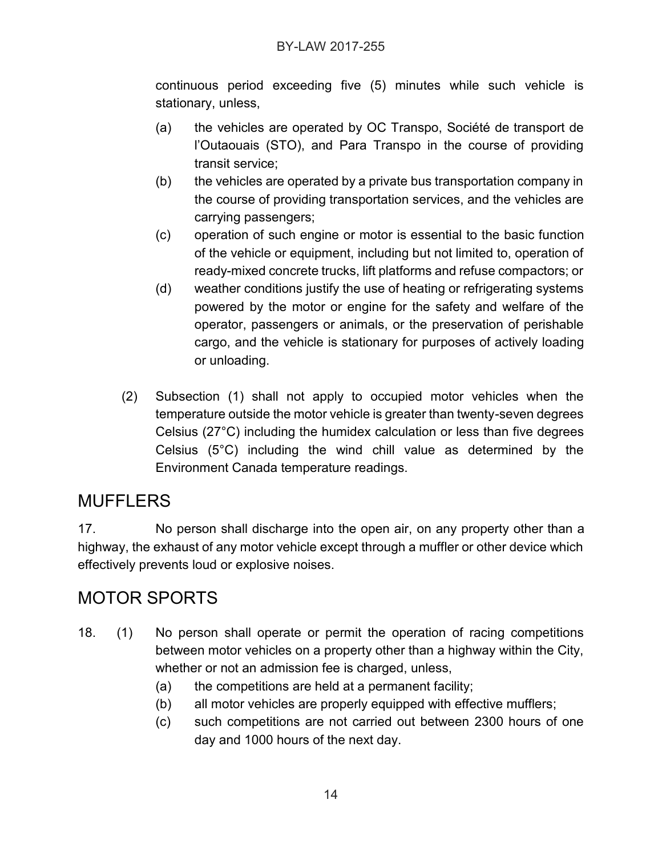continuous period exceeding five (5) minutes while such vehicle is stationary, unless,

- (a) the vehicles are operated by OC Transpo, Société de transport de l'Outaouais (STO), and Para Transpo in the course of providing transit service;
- (b) the vehicles are operated by a private bus transportation company in the course of providing transportation services, and the vehicles are carrying passengers;
- (c) operation of such engine or motor is essential to the basic function of the vehicle or equipment, including but not limited to, operation of ready-mixed concrete trucks, lift platforms and refuse compactors; or
- (d) weather conditions justify the use of heating or refrigerating systems powered by the motor or engine for the safety and welfare of the operator, passengers or animals, or the preservation of perishable cargo, and the vehicle is stationary for purposes of actively loading or unloading.
- (2) Subsection (1) shall not apply to occupied motor vehicles when the temperature outside the motor vehicle is greater than twenty-seven degrees Celsius (27°C) including the humidex calculation or less than five degrees Celsius (5°C) including the wind chill value as determined by the Environment Canada temperature readings.

### **MUFFLERS**

17. No person shall discharge into the open air, on any property other than a highway, the exhaust of any motor vehicle except through a muffler or other device which effectively prevents loud or explosive noises.

### MOTOR SPORTS

- 18. (1) No person shall operate or permit the operation of racing competitions between motor vehicles on a property other than a highway within the City, whether or not an admission fee is charged, unless,
	- (a) the competitions are held at a permanent facility;
	- (b) all motor vehicles are properly equipped with effective mufflers;
	- (c) such competitions are not carried out between 2300 hours of one day and 1000 hours of the next day.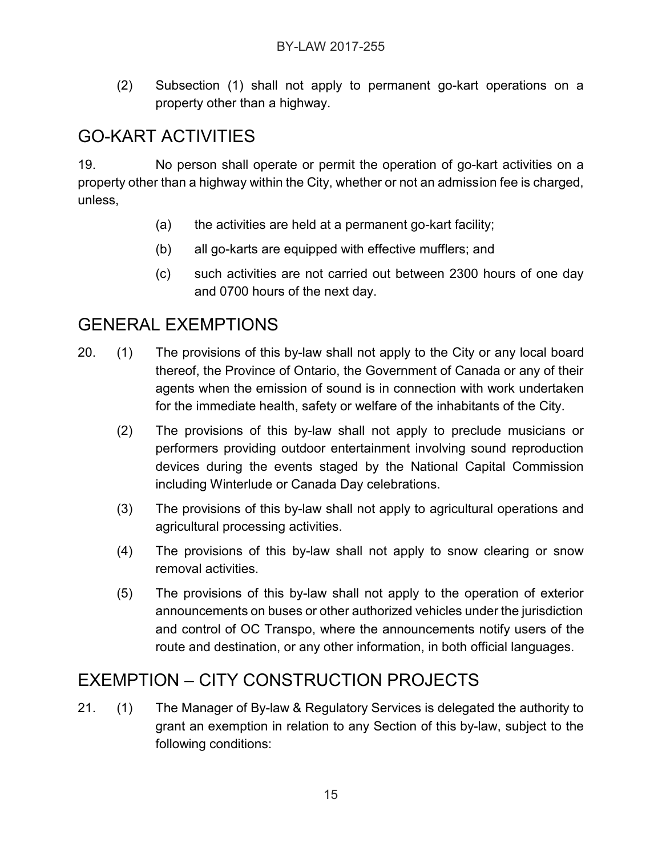(2) Subsection (1) shall not apply to permanent go-kart operations on a property other than a highway.

# GO-KART ACTIVITIES

19. No person shall operate or permit the operation of go-kart activities on a property other than a highway within the City, whether or not an admission fee is charged, unless,

- (a) the activities are held at a permanent go-kart facility;
- (b) all go-karts are equipped with effective mufflers; and
- (c) such activities are not carried out between 2300 hours of one day and 0700 hours of the next day.

### GENERAL EXEMPTIONS

- 20. (1) The provisions of this by-law shall not apply to the City or any local board thereof, the Province of Ontario, the Government of Canada or any of their agents when the emission of sound is in connection with work undertaken for the immediate health, safety or welfare of the inhabitants of the City.
	- (2) The provisions of this by-law shall not apply to preclude musicians or performers providing outdoor entertainment involving sound reproduction devices during the events staged by the National Capital Commission including Winterlude or Canada Day celebrations.
	- (3) The provisions of this by-law shall not apply to agricultural operations and agricultural processing activities.
	- (4) The provisions of this by-law shall not apply to snow clearing or snow removal activities.
	- (5) The provisions of this by-law shall not apply to the operation of exterior announcements on buses or other authorized vehicles under the jurisdiction and control of OC Transpo, where the announcements notify users of the route and destination, or any other information, in both official languages.

# EXEMPTION – CITY CONSTRUCTION PROJECTS

21. (1) The Manager of By-law & Regulatory Services is delegated the authority to grant an exemption in relation to any Section of this by-law, subject to the following conditions: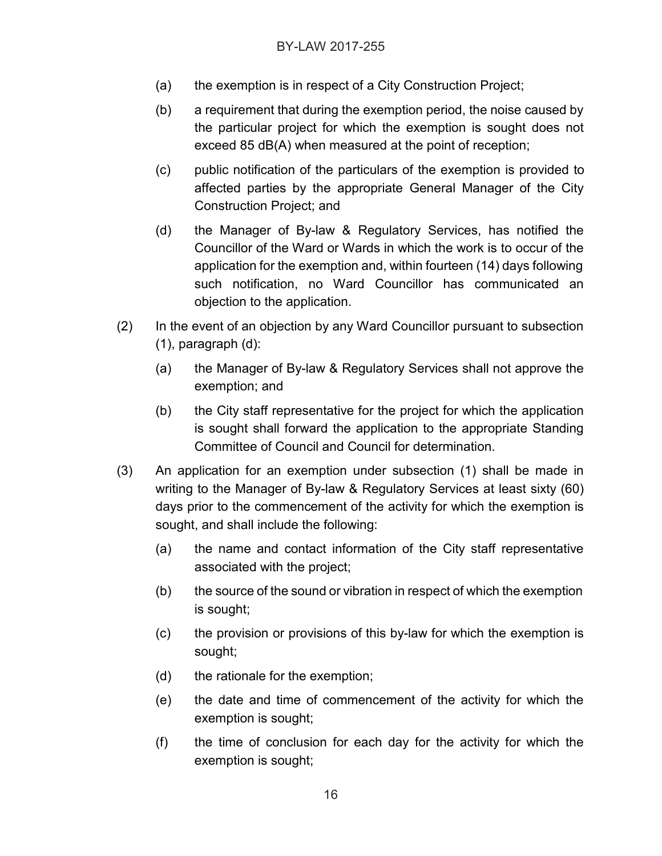- (a) the exemption is in respect of a City Construction Project;
- (b) a requirement that during the exemption period, the noise caused by the particular project for which the exemption is sought does not exceed 85 dB(A) when measured at the point of reception;
- (c) public notification of the particulars of the exemption is provided to affected parties by the appropriate General Manager of the City Construction Project; and
- (d) the Manager of By-law & Regulatory Services, has notified the Councillor of the Ward or Wards in which the work is to occur of the application for the exemption and, within fourteen (14) days following such notification, no Ward Councillor has communicated an objection to the application.
- (2) In the event of an objection by any Ward Councillor pursuant to subsection (1), paragraph (d):
	- (a) the Manager of By-law & Regulatory Services shall not approve the exemption; and
	- (b) the City staff representative for the project for which the application is sought shall forward the application to the appropriate Standing Committee of Council and Council for determination.
- (3) An application for an exemption under subsection (1) shall be made in writing to the Manager of By-law & Regulatory Services at least sixty (60) days prior to the commencement of the activity for which the exemption is sought, and shall include the following:
	- (a) the name and contact information of the City staff representative associated with the project;
	- (b) the source of the sound or vibration in respect of which the exemption is sought;
	- (c) the provision or provisions of this by-law for which the exemption is sought;
	- (d) the rationale for the exemption;
	- (e) the date and time of commencement of the activity for which the exemption is sought;
	- (f) the time of conclusion for each day for the activity for which the exemption is sought;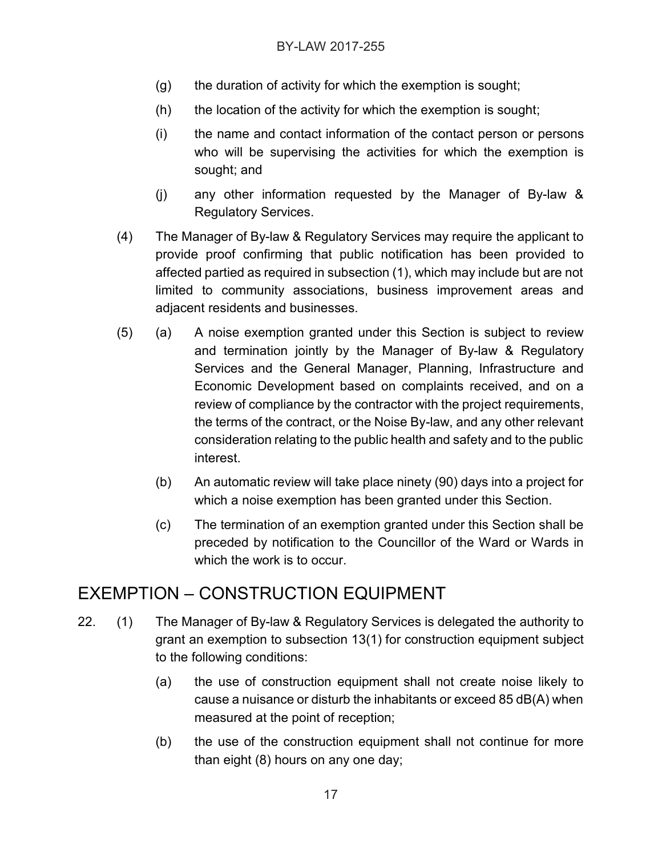- (g) the duration of activity for which the exemption is sought;
- (h) the location of the activity for which the exemption is sought;
- (i) the name and contact information of the contact person or persons who will be supervising the activities for which the exemption is sought; and
- (j) any other information requested by the Manager of By-law & Regulatory Services.
- (4) The Manager of By-law & Regulatory Services may require the applicant to provide proof confirming that public notification has been provided to affected partied as required in subsection (1), which may include but are not limited to community associations, business improvement areas and adjacent residents and businesses.
- (5) (a) A noise exemption granted under this Section is subject to review and termination jointly by the Manager of By-law & Regulatory Services and the General Manager, Planning, Infrastructure and Economic Development based on complaints received, and on a review of compliance by the contractor with the project requirements, the terms of the contract, or the Noise By-law, and any other relevant consideration relating to the public health and safety and to the public interest.
	- (b) An automatic review will take place ninety (90) days into a project for which a noise exemption has been granted under this Section.
	- (c) The termination of an exemption granted under this Section shall be preceded by notification to the Councillor of the Ward or Wards in which the work is to occur.

# EXEMPTION – CONSTRUCTION EQUIPMENT

- 22. (1) The Manager of By-law & Regulatory Services is delegated the authority to grant an exemption to subsection 13(1) for construction equipment subject to the following conditions:
	- (a) the use of construction equipment shall not create noise likely to cause a nuisance or disturb the inhabitants or exceed 85 dB(A) when measured at the point of reception;
	- (b) the use of the construction equipment shall not continue for more than eight (8) hours on any one day;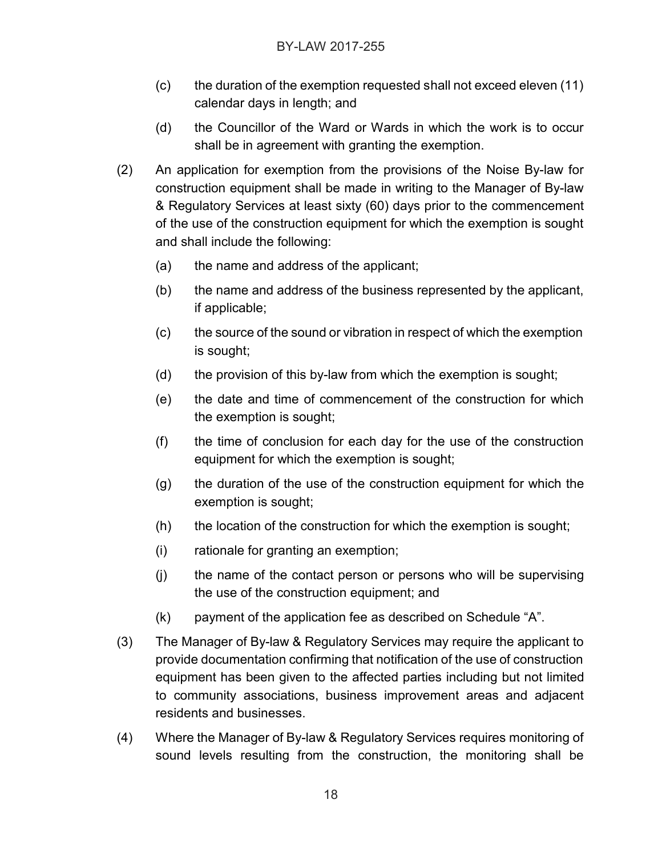- (c) the duration of the exemption requested shall not exceed eleven (11) calendar days in length; and
- (d) the Councillor of the Ward or Wards in which the work is to occur shall be in agreement with granting the exemption.
- (2) An application for exemption from the provisions of the Noise By-law for construction equipment shall be made in writing to the Manager of By-law & Regulatory Services at least sixty (60) days prior to the commencement of the use of the construction equipment for which the exemption is sought and shall include the following:
	- (a) the name and address of the applicant;
	- (b) the name and address of the business represented by the applicant, if applicable;
	- (c) the source of the sound or vibration in respect of which the exemption is sought;
	- (d) the provision of this by-law from which the exemption is sought;
	- (e) the date and time of commencement of the construction for which the exemption is sought;
	- (f) the time of conclusion for each day for the use of the construction equipment for which the exemption is sought;
	- (g) the duration of the use of the construction equipment for which the exemption is sought;
	- (h) the location of the construction for which the exemption is sought;
	- (i) rationale for granting an exemption;
	- (j) the name of the contact person or persons who will be supervising the use of the construction equipment; and
	- (k) payment of the application fee as described on Schedule "A".
- (3) The Manager of By-law & Regulatory Services may require the applicant to provide documentation confirming that notification of the use of construction equipment has been given to the affected parties including but not limited to community associations, business improvement areas and adjacent residents and businesses.
- (4) Where the Manager of By-law & Regulatory Services requires monitoring of sound levels resulting from the construction, the monitoring shall be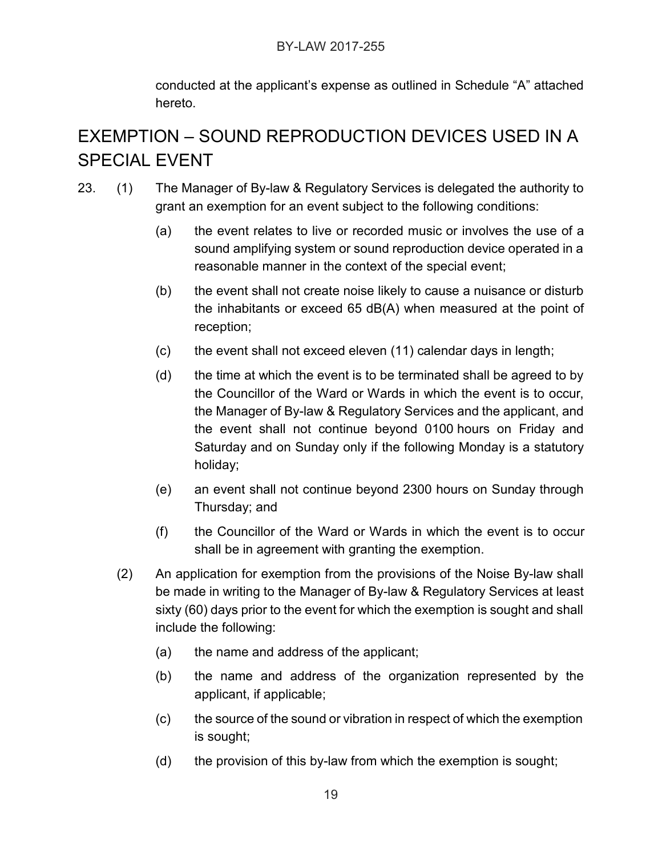conducted at the applicant's expense as outlined in Schedule "A" attached hereto.

# EXEMPTION – SOUND REPRODUCTION DEVICES USED IN A SPECIAL EVENT

- 23. (1) The Manager of By-law & Regulatory Services is delegated the authority to grant an exemption for an event subject to the following conditions:
	- (a) the event relates to live or recorded music or involves the use of a sound amplifying system or sound reproduction device operated in a reasonable manner in the context of the special event;
	- (b) the event shall not create noise likely to cause a nuisance or disturb the inhabitants or exceed 65 dB(A) when measured at the point of reception;
	- (c) the event shall not exceed eleven (11) calendar days in length;
	- (d) the time at which the event is to be terminated shall be agreed to by the Councillor of the Ward or Wards in which the event is to occur, the Manager of By-law & Regulatory Services and the applicant, and the event shall not continue beyond 0100 hours on Friday and Saturday and on Sunday only if the following Monday is a statutory holiday;
	- (e) an event shall not continue beyond 2300 hours on Sunday through Thursday; and
	- (f) the Councillor of the Ward or Wards in which the event is to occur shall be in agreement with granting the exemption.
	- (2) An application for exemption from the provisions of the Noise By-law shall be made in writing to the Manager of By-law & Regulatory Services at least sixty (60) days prior to the event for which the exemption is sought and shall include the following:
		- (a) the name and address of the applicant;
		- (b) the name and address of the organization represented by the applicant, if applicable;
		- (c) the source of the sound or vibration in respect of which the exemption is sought;
		- (d) the provision of this by-law from which the exemption is sought;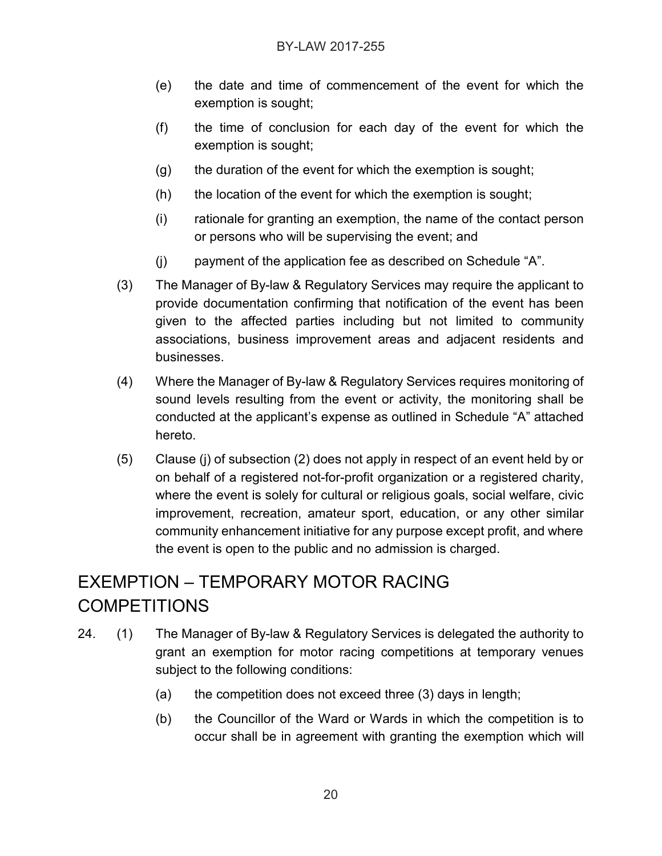- (e) the date and time of commencement of the event for which the exemption is sought;
- (f) the time of conclusion for each day of the event for which the exemption is sought;
- (g) the duration of the event for which the exemption is sought;
- (h) the location of the event for which the exemption is sought;
- (i) rationale for granting an exemption, the name of the contact person or persons who will be supervising the event; and
- (j) payment of the application fee as described on Schedule "A".
- (3) The Manager of By-law & Regulatory Services may require the applicant to provide documentation confirming that notification of the event has been given to the affected parties including but not limited to community associations, business improvement areas and adjacent residents and businesses.
- (4) Where the Manager of By-law & Regulatory Services requires monitoring of sound levels resulting from the event or activity, the monitoring shall be conducted at the applicant's expense as outlined in Schedule "A" attached hereto.
- (5) Clause (j) of subsection (2) does not apply in respect of an event held by or on behalf of a registered not-for-profit organization or a registered charity, where the event is solely for cultural or religious goals, social welfare, civic improvement, recreation, amateur sport, education, or any other similar community enhancement initiative for any purpose except profit, and where the event is open to the public and no admission is charged.

# EXEMPTION – TEMPORARY MOTOR RACING **COMPETITIONS**

- 24. (1) The Manager of By-law & Regulatory Services is delegated the authority to grant an exemption for motor racing competitions at temporary venues subject to the following conditions:
	- (a) the competition does not exceed three (3) days in length;
	- (b) the Councillor of the Ward or Wards in which the competition is to occur shall be in agreement with granting the exemption which will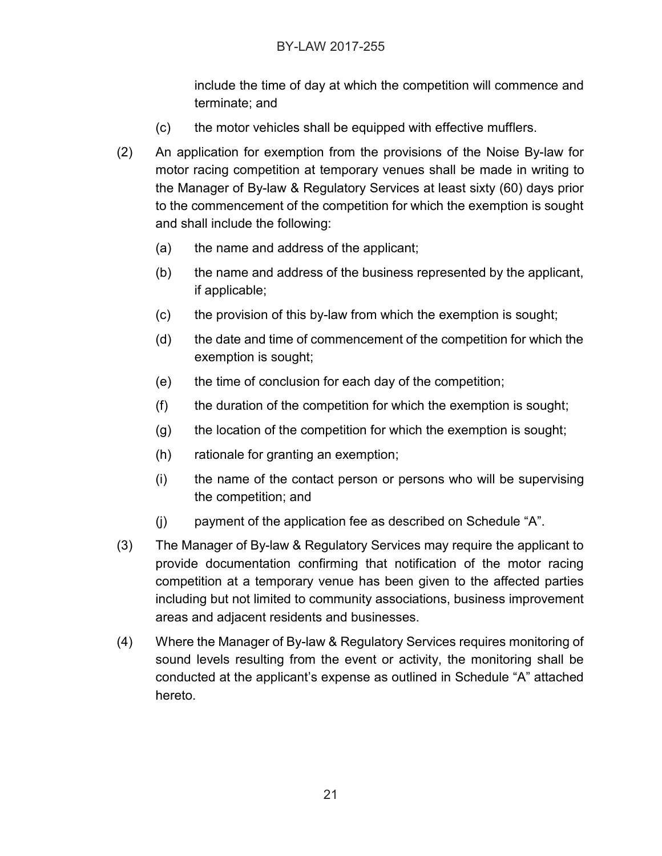include the time of day at which the competition will commence and terminate; and

- (c) the motor vehicles shall be equipped with effective mufflers.
- (2) An application for exemption from the provisions of the Noise By-law for motor racing competition at temporary venues shall be made in writing to the Manager of By-law & Regulatory Services at least sixty (60) days prior to the commencement of the competition for which the exemption is sought and shall include the following:
	- (a) the name and address of the applicant;
	- (b) the name and address of the business represented by the applicant, if applicable;
	- (c) the provision of this by-law from which the exemption is sought;
	- (d) the date and time of commencement of the competition for which the exemption is sought;
	- (e) the time of conclusion for each day of the competition;
	- (f) the duration of the competition for which the exemption is sought;
	- (g) the location of the competition for which the exemption is sought;
	- (h) rationale for granting an exemption;
	- (i) the name of the contact person or persons who will be supervising the competition; and
	- (j) payment of the application fee as described on Schedule "A".
- (3) The Manager of By-law & Regulatory Services may require the applicant to provide documentation confirming that notification of the motor racing competition at a temporary venue has been given to the affected parties including but not limited to community associations, business improvement areas and adjacent residents and businesses.
- (4) Where the Manager of By-law & Regulatory Services requires monitoring of sound levels resulting from the event or activity, the monitoring shall be conducted at the applicant's expense as outlined in Schedule "A" attached hereto.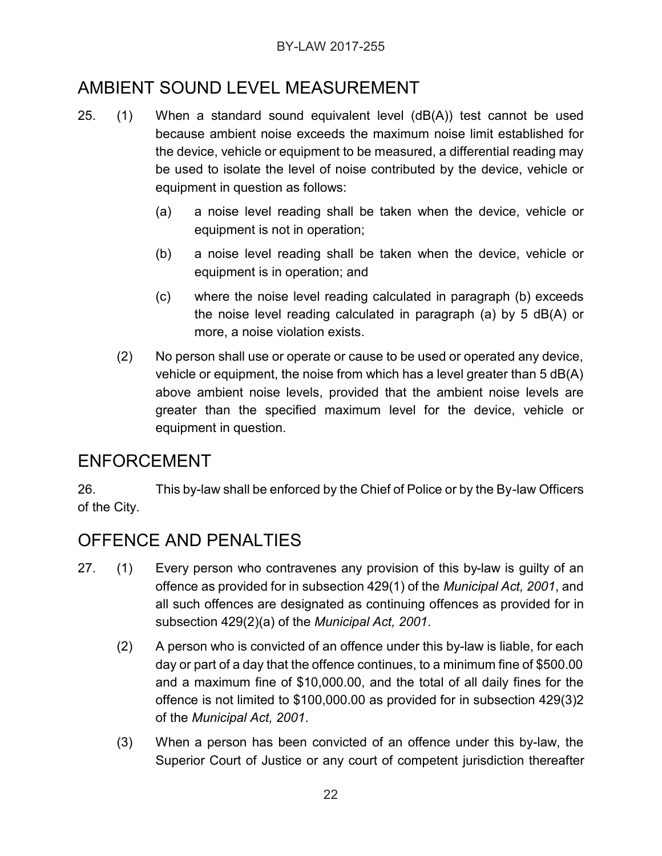# AMBIENT SOUND LEVEL MEASUREMENT

- 25. (1) When a standard sound equivalent level (dB(A)) test cannot be used because ambient noise exceeds the maximum noise limit established for the device, vehicle or equipment to be measured, a differential reading may be used to isolate the level of noise contributed by the device, vehicle or equipment in question as follows:
	- (a) a noise level reading shall be taken when the device, vehicle or equipment is not in operation;
	- (b) a noise level reading shall be taken when the device, vehicle or equipment is in operation; and
	- (c) where the noise level reading calculated in paragraph (b) exceeds the noise level reading calculated in paragraph (a) by 5 dB(A) or more, a noise violation exists.
	- (2) No person shall use or operate or cause to be used or operated any device, vehicle or equipment, the noise from which has a level greater than 5 dB(A) above ambient noise levels, provided that the ambient noise levels are greater than the specified maximum level for the device, vehicle or equipment in question.

#### ENFORCEMENT

26. This by-law shall be enforced by the Chief of Police or by the By-law Officers of the City.

# OFFENCE AND PENALTIES

- 27. (1) Every person who contravenes any provision of this by-law is guilty of an offence as provided for in subsection 429(1) of the *Municipal Act, 2001*, and all such offences are designated as continuing offences as provided for in subsection 429(2)(a) of the *Municipal Act, 2001*.
	- (2) A person who is convicted of an offence under this by-law is liable, for each day or part of a day that the offence continues, to a minimum fine of \$500.00 and a maximum fine of \$10,000.00, and the total of all daily fines for the offence is not limited to \$100,000.00 as provided for in subsection 429(3)2 of the *Municipal Act, 2001*.
	- (3) When a person has been convicted of an offence under this by-law, the Superior Court of Justice or any court of competent jurisdiction thereafter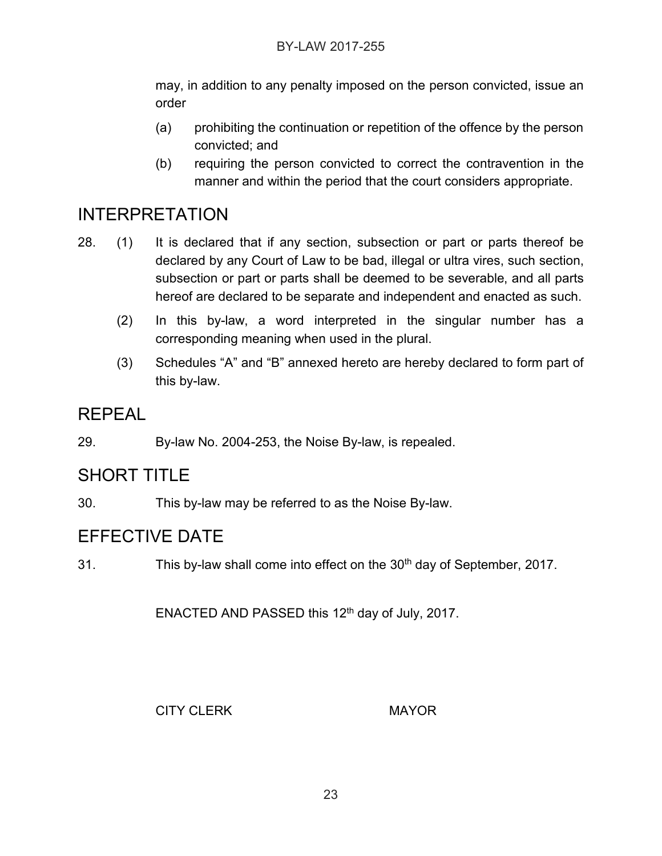may, in addition to any penalty imposed on the person convicted, issue an order

- (a) prohibiting the continuation or repetition of the offence by the person convicted; and
- (b) requiring the person convicted to correct the contravention in the manner and within the period that the court considers appropriate.

#### INTERPRETATION

- 28. (1) It is declared that if any section, subsection or part or parts thereof be declared by any Court of Law to be bad, illegal or ultra vires, such section, subsection or part or parts shall be deemed to be severable, and all parts hereof are declared to be separate and independent and enacted as such.
	- (2) In this by-law, a word interpreted in the singular number has a corresponding meaning when used in the plural.
	- (3) Schedules "A" and "B" annexed hereto are hereby declared to form part of this by-law.

#### REPEAL

29. By-law No. 2004-253, the Noise By-law, is repealed.

#### SHORT TITLE

30. This by-law may be referred to as the Noise By-law.

#### EFFECTIVE DATE

31. This by-law shall come into effect on the 30<sup>th</sup> day of September, 2017.

ENACTED AND PASSED this  $12<sup>th</sup>$  day of July, 2017.

CITY CLERK MAYOR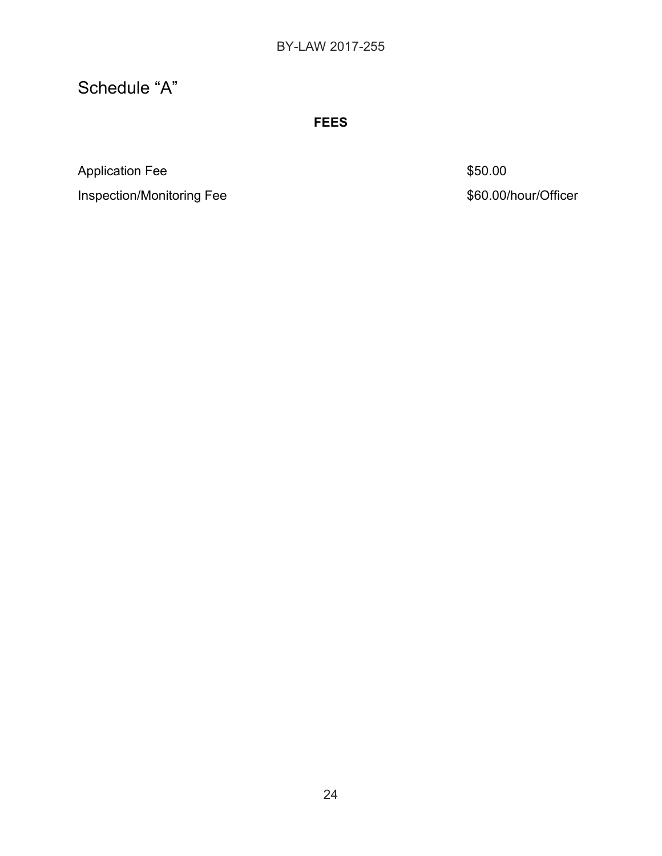# Schedule "A"

**FEES**

Application Fee \$50.00

Inspection/Monitoring Fee  $$60.00/h$ our/Officer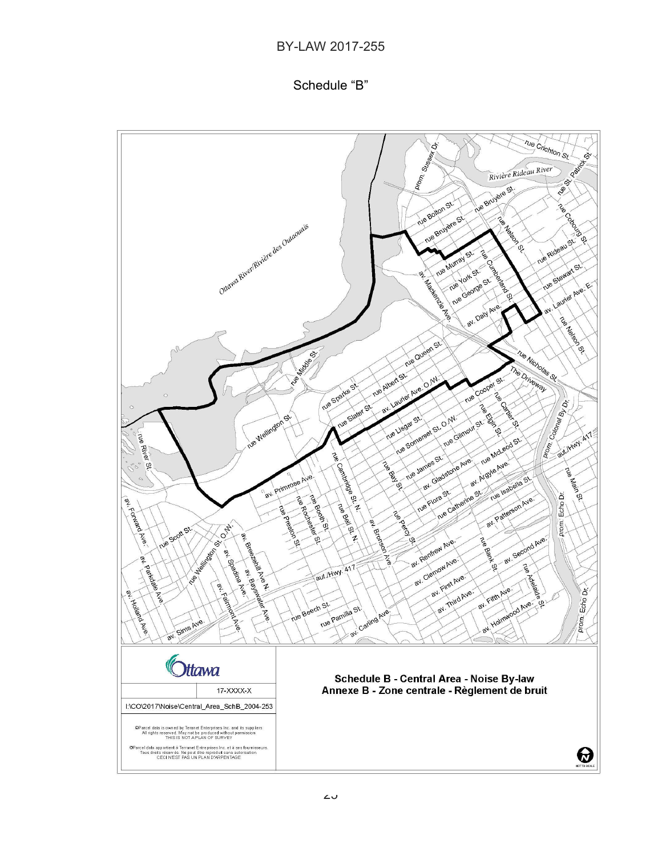#### BY-LAW 2017-255

#### Schedule "B"